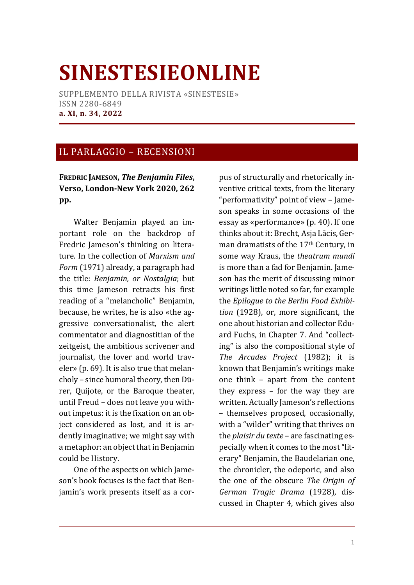## **SINESTESIEONLINE**

SUPPLEMENTO DELLA RIVISTA «SINESTESIE» ISSN 2280-6849 **a. XI, n. 34, 2022**

## IL PARLAGGIO – RECENSIONI

## **FREDRIC JAMESON,** *The Benjamin Files***, Verso, London-New York 2020, 262 pp.**

Walter Benjamin played an important role on the backdrop of Fredric Jameson's thinking on literature. In the collection of *Marxism and Form* (1971) already, a paragraph had the title: *Benjamin, or Nostalgia*; but this time Jameson retracts his first reading of a "melancholic" Benjamin, because, he writes, he is also «the aggressive conversationalist, the alert commentator and diagnostitian of the zeitgeist, the ambitious scrivener and journalist, the lover and world traveler» (p. 69). It is also true that melancholy – since humoral theory, then Dürer, Quijote, or the Baroque theater, until Freud – does not leave you without impetus: it is the fixation on an object considered as lost, and it is ardently imaginative; we might say with a metaphor: an object that in Benjamin could be History.

One of the aspects on which Jameson's book focuses is the fact that Benjamin's work presents itself as a corpus of structurally and rhetorically inventive critical texts, from the literary "performativity" point of view – Jameson speaks in some occasions of the essay as «performance» (p. 40). If one thinks about it: Brecht, Asja Lācis, German dramatists of the 17<sup>th</sup> Century, in some way Kraus, the *theatrum mundi* is more than a fad for Benjamin. Jameson has the merit of discussing minor writings little noted so far, for example the *Epilogue to the Berlin Food Exhibition* (1928), or, more significant, the one about historian and collector Eduard Fuchs, in Chapter 7. And "collecting" is also the compositional style of *The Arcades Project* (1982); it is known that Benjamin's writings make one think – apart from the content they express – for the way they are written. Actually Jameson's reflections – themselves proposed, occasionally, with a "wilder" writing that thrives on the *plaisir du texte* – are fascinating especially when it comes to the most "literary" Benjamin, the Baudelarian one, the chronicler, the odeporic, and also the one of the obscure *The Origin of German Tragic Drama* (1928), discussed in Chapter 4, which gives also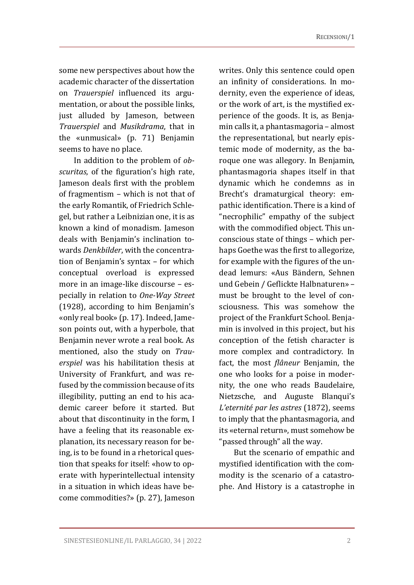some new perspectives about how the academic character of the dissertation on *Trauerspiel* influenced its argumentation, or about the possible links, just alluded by Jameson, between *Trauerspiel* and *Musikdrama*, that in the «unmusical» (p. 71) Benjamin seems to have no place.

In addition to the problem of *obscuritas*, of the figuration's high rate, Jameson deals first with the problem of fragmentism – which is not that of the early Romantik, of Friedrich Schlegel, but rather a Leibnizian one, it is as known a kind of monadism. Jameson deals with Benjamin's inclination towards *Denkbilder*, with the concentration of Benjamin's syntax – for which conceptual overload is expressed more in an image-like discourse – especially in relation to *One-Way Street* (1928), according to him Benjamin's «only real book» (p. 17). Indeed, Jameson points out, with a hyperbole, that Benjamin never wrote a real book. As mentioned, also the study on *Trauerspiel* was his habilitation thesis at University of Frankfurt, and was refused by the commission because of its illegibility, putting an end to his academic career before it started. But about that discontinuity in the form, I have a feeling that its reasonable explanation, its necessary reason for being, is to be found in a rhetorical question that speaks for itself: «how to operate with hyperintellectual intensity in a situation in which ideas have become commodities?» (p. 27), Jameson

writes. Only this sentence could open an infinity of considerations. In modernity, even the experience of ideas, or the work of art, is the mystified experience of the goods. It is, as Benjamin calls it, a phantasmagoria – almost the representational, but nearly epistemic mode of modernity, as the baroque one was allegory. In Benjamin, phantasmagoria shapes itself in that dynamic which he condemns as in Brecht's dramaturgical theory: empathic identification. There is a kind of "necrophilic" empathy of the subject with the commodified object. This unconscious state of things – which perhaps Goethe was the first to allegorize, for example with the figures of the undead lemurs: «Aus Bändern, Sehnen und Gebein / Geflickte Halbnaturen» – must be brought to the level of consciousness. This was somehow the project of the Frankfurt School. Benjamin is involved in this project, but his conception of the fetish character is more complex and contradictory. In fact, the most *flâneur* Benjamin, the one who looks for a poise in modernity, the one who reads Baudelaire, Nietzsche, and Auguste Blanqui's *L'eternité par les astres* (1872), seems to imply that the phantasmagoria, and its «eternal return», must somehow be "passed through" all the way.

But the scenario of empathic and mystified identification with the commodity is the scenario of a catastrophe. And History is a catastrophe in